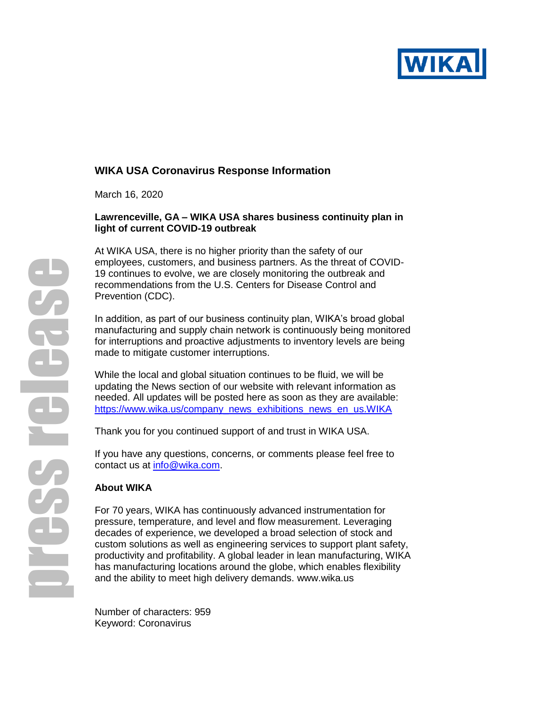

# **WIKA USA Coronavirus Response Information**

March 16, 2020

## **Lawrenceville, GA – WIKA USA shares business continuity plan in light of current COVID-19 outbreak**

At WIKA USA, there is no higher priority than the safety of our employees, customers, and business partners. As the threat of COVID-19 continues to evolve, we are closely monitoring the outbreak and recommendations from the U.S. Centers for Disease Control and Prevention (CDC).

In addition, as part of our business continuity plan, WIKA's broad global manufacturing and supply chain network is continuously being monitored for interruptions and proactive adjustments to inventory levels are being made to mitigate customer interruptions.

While the local and global situation continues to be fluid, we will be updating the News section of our website with relevant information as needed. All updates will be posted here as soon as they are available: [https://www.wika.us/company\\_news\\_exhibitions\\_news\\_en\\_us.WIKA](https://www.wika.us/company_news_exhibitions_news_en_us.WIKA)

Thank you for you continued support of and trust in WIKA USA.

If you have any questions, concerns, or comments please feel free to contact us at [info@wika.com.](mailto:info@wika.com)

### **About WIKA**

For 70 years, WIKA has continuously advanced instrumentation for pressure, temperature, and level and flow measurement. Leveraging decades of experience, we developed a broad selection of stock and custom solutions as well as engineering services to support plant safety, productivity and profitability. A global leader in lean manufacturing, WIKA has manufacturing locations around the globe, which enables flexibility and the ability to meet high delivery demands. [www.wika.us](http://www.wika.us/)

Number of characters: 959 Keyword: Coronavirus